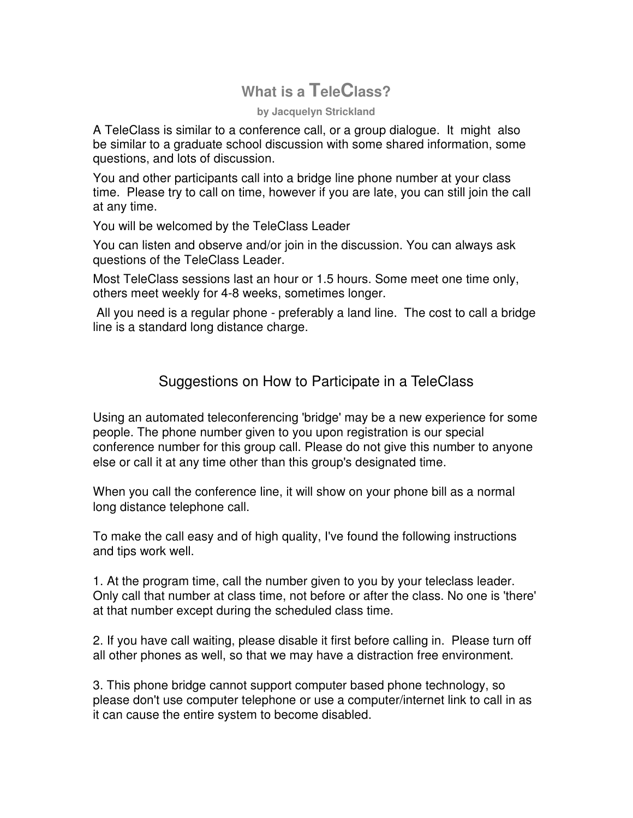## **What is a TeleClass?**

## **by Jacquelyn Strickland**

A TeleClass is similar to a conference call, or a group dialogue. It might also be similar to a graduate school discussion with some shared information, some questions, and lots of discussion.

You and other participants call into a bridge line phone number at your class time. Please try to call on time, however if you are late, you can still join the call at any time.

You will be welcomed by the TeleClass Leader

You can listen and observe and/or join in the discussion. You can always ask questions of the TeleClass Leader.

Most TeleClass sessions last an hour or 1.5 hours. Some meet one time only, others meet weekly for 4-8 weeks, sometimes longer.

 All you need is a regular phone - preferably a land line. The cost to call a bridge line is a standard long distance charge.

## Suggestions on How to Participate in a TeleClass

Using an automated teleconferencing 'bridge' may be a new experience for some people. The phone number given to you upon registration is our special conference number for this group call. Please do not give this number to anyone else or call it at any time other than this group's designated time.

When you call the conference line, it will show on your phone bill as a normal long distance telephone call.

To make the call easy and of high quality, I've found the following instructions and tips work well.

1. At the program time, call the number given to you by your teleclass leader. Only call that number at class time, not before or after the class. No one is 'there' at that number except during the scheduled class time.

2. If you have call waiting, please disable it first before calling in. Please turn off all other phones as well, so that we may have a distraction free environment.

3. This phone bridge cannot support computer based phone technology, so please don't use computer telephone or use a computer/internet link to call in as it can cause the entire system to become disabled.